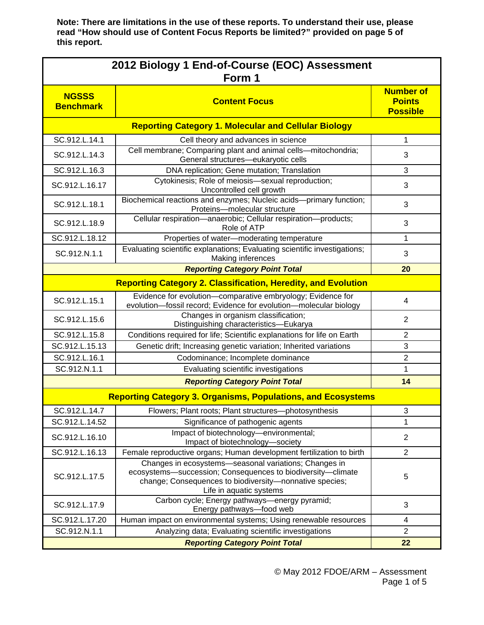| 2012 Biology 1 End-of-Course (EOC) Assessment<br>Form 1             |                                                                                                                                                                                                            |                                                      |  |  |  |
|---------------------------------------------------------------------|------------------------------------------------------------------------------------------------------------------------------------------------------------------------------------------------------------|------------------------------------------------------|--|--|--|
| <b>NGSSS</b><br><b>Benchmark</b>                                    | <b>Content Focus</b>                                                                                                                                                                                       | <b>Number of</b><br><b>Points</b><br><b>Possible</b> |  |  |  |
|                                                                     | <b>Reporting Category 1. Molecular and Cellular Biology</b>                                                                                                                                                |                                                      |  |  |  |
| SC.912.L.14.1                                                       | Cell theory and advances in science                                                                                                                                                                        | 1                                                    |  |  |  |
| SC.912.L.14.3                                                       | Cell membrane; Comparing plant and animal cells-mitochondria;<br>General structures-eukaryotic cells                                                                                                       | 3                                                    |  |  |  |
| SC.912.L.16.3                                                       | DNA replication; Gene mutation; Translation                                                                                                                                                                | 3                                                    |  |  |  |
| SC.912.L.16.17                                                      | Cytokinesis; Role of meiosis-sexual reproduction;<br>Uncontrolled cell growth                                                                                                                              | 3                                                    |  |  |  |
| SC.912.L.18.1                                                       | Biochemical reactions and enzymes; Nucleic acids-primary function;<br>Proteins-molecular structure                                                                                                         | 3                                                    |  |  |  |
| SC.912.L.18.9                                                       | Cellular respiration-anaerobic; Cellular respiration-products;<br>Role of ATP                                                                                                                              | 3                                                    |  |  |  |
| SC.912.L.18.12                                                      | Properties of water-moderating temperature                                                                                                                                                                 | 1                                                    |  |  |  |
| SC.912.N.1.1                                                        | Evaluating scientific explanations; Evaluating scientific investigations;<br>Making inferences                                                                                                             | 3                                                    |  |  |  |
|                                                                     | <b>Reporting Category Point Total</b>                                                                                                                                                                      | 20                                                   |  |  |  |
|                                                                     | <b>Reporting Category 2. Classification, Heredity, and Evolution</b>                                                                                                                                       |                                                      |  |  |  |
| SC.912.L.15.1                                                       | Evidence for evolution-comparative embryology; Evidence for<br>evolution-fossil record; Evidence for evolution-molecular biology                                                                           | 4                                                    |  |  |  |
| SC.912.L.15.6                                                       | Changes in organism classification;<br>Distinguishing characteristics-Eukarya                                                                                                                              | $\overline{2}$                                       |  |  |  |
| SC.912.L.15.8                                                       | Conditions required for life; Scientific explanations for life on Earth                                                                                                                                    | $\overline{2}$                                       |  |  |  |
| SC.912.L.15.13                                                      | Genetic drift; Increasing genetic variation; Inherited variations                                                                                                                                          | $\ensuremath{\mathsf{3}}$                            |  |  |  |
| SC.912.L.16.1                                                       | Codominance; Incomplete dominance                                                                                                                                                                          | $\overline{2}$                                       |  |  |  |
| SC.912.N.1.1                                                        | Evaluating scientific investigations                                                                                                                                                                       | 1                                                    |  |  |  |
|                                                                     | <b>Reporting Category Point Total</b>                                                                                                                                                                      | 14                                                   |  |  |  |
| <b>Reporting Category 3. Organisms, Populations, and Ecosystems</b> |                                                                                                                                                                                                            |                                                      |  |  |  |
| SC.912.L.14.7                                                       | Flowers; Plant roots; Plant structures-photosynthesis                                                                                                                                                      | 3                                                    |  |  |  |
| SC.912.L.14.52                                                      | Significance of pathogenic agents                                                                                                                                                                          | 1                                                    |  |  |  |
| SC.912.L.16.10                                                      | Impact of biotechnology-environmental;<br>Impact of biotechnology-society                                                                                                                                  | $\overline{c}$                                       |  |  |  |
| SC.912.L.16.13                                                      | Female reproductive organs; Human development fertilization to birth                                                                                                                                       | $\overline{2}$                                       |  |  |  |
| SC.912.L.17.5                                                       | Changes in ecosystems-seasonal variations; Changes in<br>ecosystems-succession; Consequences to biodiversity-climate<br>change; Consequences to biodiversity-nonnative species;<br>Life in aquatic systems | 5                                                    |  |  |  |
| SC.912.L.17.9                                                       | Carbon cycle; Energy pathways-energy pyramid;<br>Energy pathways-food web                                                                                                                                  | 3                                                    |  |  |  |
| SC.912.L.17.20                                                      | Human impact on environmental systems; Using renewable resources                                                                                                                                           | 4                                                    |  |  |  |
| SC.912.N.1.1                                                        | Analyzing data; Evaluating scientific investigations                                                                                                                                                       | $\overline{2}$                                       |  |  |  |
|                                                                     | 22                                                                                                                                                                                                         |                                                      |  |  |  |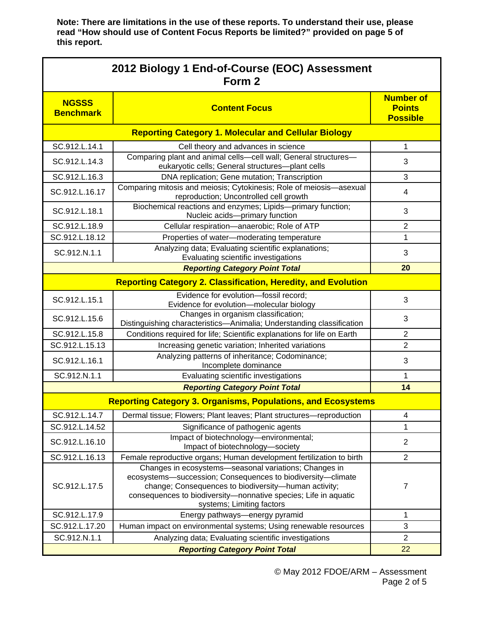| 2012 Biology 1 End-of-Course (EOC) Assessment<br>Form 2             |                                                                                                                                                                                                                                                                              |                                                      |  |  |  |
|---------------------------------------------------------------------|------------------------------------------------------------------------------------------------------------------------------------------------------------------------------------------------------------------------------------------------------------------------------|------------------------------------------------------|--|--|--|
| <b>NGSSS</b><br><b>Benchmark</b>                                    | <b>Content Focus</b>                                                                                                                                                                                                                                                         | <b>Number of</b><br><b>Points</b><br><b>Possible</b> |  |  |  |
|                                                                     | <b>Reporting Category 1. Molecular and Cellular Biology</b>                                                                                                                                                                                                                  |                                                      |  |  |  |
| SC.912.L.14.1                                                       | Cell theory and advances in science                                                                                                                                                                                                                                          | $\mathbf{1}$                                         |  |  |  |
| SC.912.L.14.3                                                       | Comparing plant and animal cells-cell wall; General structures-<br>eukaryotic cells; General structures-plant cells                                                                                                                                                          | 3                                                    |  |  |  |
| SC.912.L.16.3                                                       | DNA replication; Gene mutation; Transcription                                                                                                                                                                                                                                | 3                                                    |  |  |  |
| SC.912.L.16.17                                                      | Comparing mitosis and meiosis; Cytokinesis; Role of meiosis-asexual<br>reproduction; Uncontrolled cell growth                                                                                                                                                                | 4                                                    |  |  |  |
| SC.912.L.18.1                                                       | Biochemical reactions and enzymes; Lipids-primary function;<br>Nucleic acids-primary function                                                                                                                                                                                | 3                                                    |  |  |  |
| SC.912.L.18.9                                                       | Cellular respiration-anaerobic; Role of ATP                                                                                                                                                                                                                                  | 2                                                    |  |  |  |
| SC.912.L.18.12                                                      | Properties of water-moderating temperature                                                                                                                                                                                                                                   | $\mathbf 1$                                          |  |  |  |
| SC.912.N.1.1                                                        | Analyzing data; Evaluating scientific explanations;<br>Evaluating scientific investigations                                                                                                                                                                                  | 3                                                    |  |  |  |
|                                                                     | <b>Reporting Category Point Total</b>                                                                                                                                                                                                                                        | 20                                                   |  |  |  |
|                                                                     | <b>Reporting Category 2. Classification, Heredity, and Evolution</b>                                                                                                                                                                                                         |                                                      |  |  |  |
| SC.912.L.15.1                                                       | Evidence for evolution-fossil record;<br>Evidence for evolution-molecular biology                                                                                                                                                                                            | 3                                                    |  |  |  |
| SC.912.L.15.6                                                       | Changes in organism classification;<br>Distinguishing characteristics-Animalia; Understanding classification                                                                                                                                                                 | 3                                                    |  |  |  |
| SC.912.L.15.8                                                       | Conditions required for life; Scientific explanations for life on Earth                                                                                                                                                                                                      | $\overline{2}$                                       |  |  |  |
| SC.912.L.15.13                                                      | Increasing genetic variation; Inherited variations                                                                                                                                                                                                                           | $\overline{2}$                                       |  |  |  |
| SC.912.L.16.1                                                       | Analyzing patterns of inheritance; Codominance;<br>Incomplete dominance                                                                                                                                                                                                      | 3                                                    |  |  |  |
| SC.912.N.1.1                                                        | Evaluating scientific investigations                                                                                                                                                                                                                                         | 1                                                    |  |  |  |
|                                                                     | 14                                                                                                                                                                                                                                                                           |                                                      |  |  |  |
| <b>Reporting Category 3. Organisms, Populations, and Ecosystems</b> |                                                                                                                                                                                                                                                                              |                                                      |  |  |  |
| SC.912.L.14.7                                                       | Dermal tissue; Flowers; Plant leaves; Plant structures-reproduction                                                                                                                                                                                                          | 4                                                    |  |  |  |
| SC.912.L.14.52                                                      | Significance of pathogenic agents                                                                                                                                                                                                                                            | 1                                                    |  |  |  |
| SC.912.L.16.10                                                      | Impact of biotechnology-environmental;<br>Impact of biotechnology-society                                                                                                                                                                                                    | $\overline{2}$                                       |  |  |  |
| SC.912.L.16.13                                                      | Female reproductive organs; Human development fertilization to birth                                                                                                                                                                                                         | $\overline{2}$                                       |  |  |  |
| SC.912.L.17.5                                                       | Changes in ecosystems-seasonal variations; Changes in<br>ecosystems-succession; Consequences to biodiversity-climate<br>change; Consequences to biodiversity-human activity;<br>consequences to biodiversity-nonnative species; Life in aquatic<br>systems; Limiting factors | $\overline{7}$                                       |  |  |  |
| SC.912.L.17.9                                                       | Energy pathways-energy pyramid                                                                                                                                                                                                                                               | 1                                                    |  |  |  |
| SC.912.L.17.20                                                      | Human impact on environmental systems; Using renewable resources                                                                                                                                                                                                             | 3                                                    |  |  |  |
| SC.912.N.1.1                                                        | Analyzing data; Evaluating scientific investigations                                                                                                                                                                                                                         | $\overline{2}$                                       |  |  |  |
|                                                                     | 22                                                                                                                                                                                                                                                                           |                                                      |  |  |  |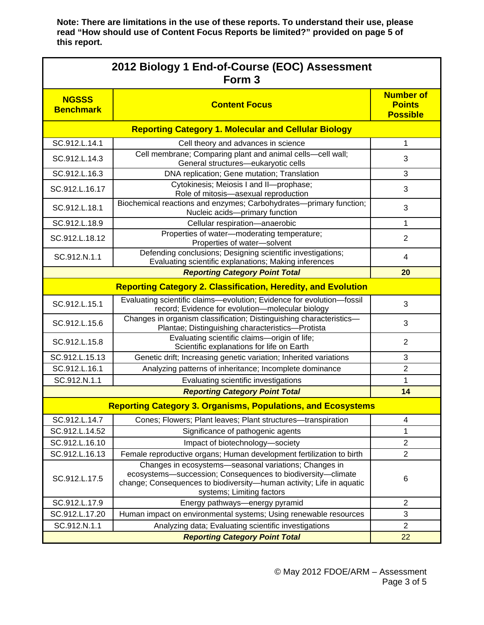| 2012 Biology 1 End-of-Course (EOC) Assessment<br>Form <sub>3</sub> |                                                                                                                                                                                                                           |                                                      |  |  |  |
|--------------------------------------------------------------------|---------------------------------------------------------------------------------------------------------------------------------------------------------------------------------------------------------------------------|------------------------------------------------------|--|--|--|
| <b>NGSSS</b><br><b>Benchmark</b>                                   | <b>Content Focus</b>                                                                                                                                                                                                      | <b>Number of</b><br><b>Points</b><br><b>Possible</b> |  |  |  |
|                                                                    | <b>Reporting Category 1. Molecular and Cellular Biology</b>                                                                                                                                                               |                                                      |  |  |  |
| SC.912.L.14.1                                                      | Cell theory and advances in science                                                                                                                                                                                       | 1                                                    |  |  |  |
| SC.912.L.14.3                                                      | Cell membrane; Comparing plant and animal cells-cell wall;<br>General structures-eukaryotic cells                                                                                                                         | 3                                                    |  |  |  |
| SC.912.L.16.3                                                      | DNA replication; Gene mutation; Translation                                                                                                                                                                               | 3                                                    |  |  |  |
| SC.912.L.16.17                                                     | Cytokinesis; Meiosis I and II-prophase;<br>Role of mitosis-asexual reproduction                                                                                                                                           | 3                                                    |  |  |  |
| SC.912.L.18.1                                                      | Biochemical reactions and enzymes; Carbohydrates---primary function;<br>Nucleic acids-primary function                                                                                                                    | 3                                                    |  |  |  |
| SC.912.L.18.9                                                      | Cellular respiration-anaerobic                                                                                                                                                                                            | 1                                                    |  |  |  |
| SC.912.L.18.12                                                     | Properties of water-moderating temperature;<br>Properties of water-solvent                                                                                                                                                | $\overline{2}$                                       |  |  |  |
| SC.912.N.1.1                                                       | Defending conclusions; Designing scientific investigations;<br>Evaluating scientific explanations; Making inferences                                                                                                      | 4                                                    |  |  |  |
|                                                                    | 20                                                                                                                                                                                                                        |                                                      |  |  |  |
|                                                                    | <b>Reporting Category 2. Classification, Heredity, and Evolution</b>                                                                                                                                                      |                                                      |  |  |  |
| SC.912.L.15.1                                                      | Evaluating scientific claims-evolution; Evidence for evolution-fossil<br>record; Evidence for evolution-molecular biology                                                                                                 | 3                                                    |  |  |  |
| SC.912.L.15.6                                                      | Changes in organism classification; Distinguishing characteristics-<br>Plantae; Distinguishing characteristics-Protista                                                                                                   | 3                                                    |  |  |  |
| SC.912.L.15.8                                                      | Evaluating scientific claims-origin of life;<br>Scientific explanations for life on Earth                                                                                                                                 | $\overline{2}$                                       |  |  |  |
| SC.912.L.15.13                                                     | Genetic drift; Increasing genetic variation; Inherited variations                                                                                                                                                         | 3                                                    |  |  |  |
| SC.912.L.16.1                                                      | Analyzing patterns of inheritance; Incomplete dominance                                                                                                                                                                   | $\overline{2}$                                       |  |  |  |
| SC.912.N.1.1                                                       | Evaluating scientific investigations                                                                                                                                                                                      | 1                                                    |  |  |  |
|                                                                    | <b>Reporting Category Point Total</b>                                                                                                                                                                                     | 14                                                   |  |  |  |
|                                                                    | <b>Reporting Category 3. Organisms, Populations, and Ecosystems</b>                                                                                                                                                       |                                                      |  |  |  |
| SC.912.L.14.7                                                      | Cones; Flowers; Plant leaves; Plant structures-transpiration                                                                                                                                                              | 4                                                    |  |  |  |
| SC.912.L.14.52                                                     | Significance of pathogenic agents                                                                                                                                                                                         | 1                                                    |  |  |  |
| SC.912.L.16.10                                                     | Impact of biotechnology-society                                                                                                                                                                                           | $\overline{2}$                                       |  |  |  |
| SC.912.L.16.13                                                     | Female reproductive organs; Human development fertilization to birth                                                                                                                                                      | $\overline{2}$                                       |  |  |  |
| SC.912.L.17.5                                                      | Changes in ecosystems-seasonal variations; Changes in<br>ecosystems-succession; Consequences to biodiversity-climate<br>change; Consequences to biodiversity-human activity; Life in aquatic<br>systems; Limiting factors | 6                                                    |  |  |  |
| SC.912.L.17.9                                                      | Energy pathways-energy pyramid                                                                                                                                                                                            | $\overline{2}$                                       |  |  |  |
| SC.912.L.17.20                                                     | Human impact on environmental systems; Using renewable resources                                                                                                                                                          | 3                                                    |  |  |  |
| SC.912.N.1.1                                                       | Analyzing data; Evaluating scientific investigations                                                                                                                                                                      | $\overline{2}$                                       |  |  |  |
|                                                                    | 22                                                                                                                                                                                                                        |                                                      |  |  |  |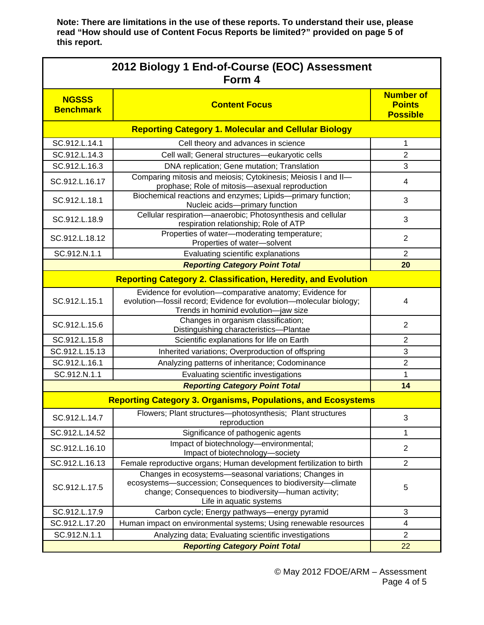| 2012 Biology 1 End-of-Course (EOC) Assessment<br>Form 4 |                                                                                                                                                                                                         |                                                      |  |  |  |
|---------------------------------------------------------|---------------------------------------------------------------------------------------------------------------------------------------------------------------------------------------------------------|------------------------------------------------------|--|--|--|
| <b>NGSSS</b><br><b>Benchmark</b>                        | <b>Content Focus</b>                                                                                                                                                                                    | <b>Number of</b><br><b>Points</b><br><b>Possible</b> |  |  |  |
|                                                         | <b>Reporting Category 1. Molecular and Cellular Biology</b>                                                                                                                                             |                                                      |  |  |  |
| SC.912.L.14.1                                           | Cell theory and advances in science                                                                                                                                                                     | 1                                                    |  |  |  |
| SC.912.L.14.3                                           | Cell wall; General structures-eukaryotic cells                                                                                                                                                          | $\overline{2}$                                       |  |  |  |
| SC.912.L.16.3                                           | DNA replication; Gene mutation; Translation                                                                                                                                                             | 3                                                    |  |  |  |
| SC.912.L.16.17                                          | Comparing mitosis and meiosis; Cytokinesis; Meiosis I and II-<br>prophase; Role of mitosis-asexual reproduction                                                                                         | 4                                                    |  |  |  |
| SC.912.L.18.1                                           | Biochemical reactions and enzymes; Lipids-primary function;<br>Nucleic acids-primary function                                                                                                           | 3                                                    |  |  |  |
| SC.912.L.18.9                                           | Cellular respiration-anaerobic; Photosynthesis and cellular<br>respiration relationship; Role of ATP                                                                                                    | 3                                                    |  |  |  |
| SC.912.L.18.12                                          | Properties of water-moderating temperature;<br>Properties of water-solvent                                                                                                                              | 2                                                    |  |  |  |
| SC.912.N.1.1                                            | Evaluating scientific explanations                                                                                                                                                                      | $\overline{2}$                                       |  |  |  |
|                                                         | <b>Reporting Category Point Total</b>                                                                                                                                                                   | 20                                                   |  |  |  |
|                                                         | <b>Reporting Category 2. Classification, Heredity, and Evolution</b>                                                                                                                                    |                                                      |  |  |  |
| SC.912.L.15.1                                           | Evidence for evolution-comparative anatomy; Evidence for<br>evolution-fossil record; Evidence for evolution-molecular biology;<br>Trends in hominid evolution-jaw size                                  | 4                                                    |  |  |  |
| SC.912.L.15.6                                           | Changes in organism classification;<br>Distinguishing characteristics-Plantae                                                                                                                           | $\overline{2}$                                       |  |  |  |
| SC.912.L.15.8                                           | Scientific explanations for life on Earth                                                                                                                                                               | $\overline{2}$                                       |  |  |  |
| SC.912.L.15.13                                          | Inherited variations; Overproduction of offspring                                                                                                                                                       | 3                                                    |  |  |  |
| SC.912.L.16.1                                           | Analyzing patterns of inheritance; Codominance                                                                                                                                                          | $\overline{2}$                                       |  |  |  |
| SC.912.N.1.1                                            | Evaluating scientific investigations                                                                                                                                                                    | 1                                                    |  |  |  |
|                                                         | 14                                                                                                                                                                                                      |                                                      |  |  |  |
|                                                         | <b>Reporting Category 3. Organisms, Populations, and Ecosystems</b>                                                                                                                                     |                                                      |  |  |  |
| SC.912.L.14.7                                           | Flowers; Plant structures—photosynthesis; Plant structures<br>reproduction                                                                                                                              | 3                                                    |  |  |  |
| SC.912.L.14.52                                          | Significance of pathogenic agents                                                                                                                                                                       | 1                                                    |  |  |  |
| SC.912.L.16.10                                          | Impact of biotechnology-environmental;<br>Impact of biotechnology-society                                                                                                                               | $\overline{c}$                                       |  |  |  |
| SC.912.L.16.13                                          | Female reproductive organs; Human development fertilization to birth                                                                                                                                    | $\overline{2}$                                       |  |  |  |
| SC.912.L.17.5                                           | Changes in ecosystems-seasonal variations; Changes in<br>ecosystems-succession; Consequences to biodiversity-climate<br>change; Consequences to biodiversity-human activity;<br>Life in aquatic systems | 5                                                    |  |  |  |
| SC.912.L.17.9                                           | Carbon cycle; Energy pathways-energy pyramid                                                                                                                                                            | 3                                                    |  |  |  |
| SC.912.L.17.20                                          | Human impact on environmental systems; Using renewable resources                                                                                                                                        | 4                                                    |  |  |  |
| SC.912.N.1.1                                            | Analyzing data; Evaluating scientific investigations                                                                                                                                                    | $\overline{2}$                                       |  |  |  |
|                                                         | 22                                                                                                                                                                                                      |                                                      |  |  |  |